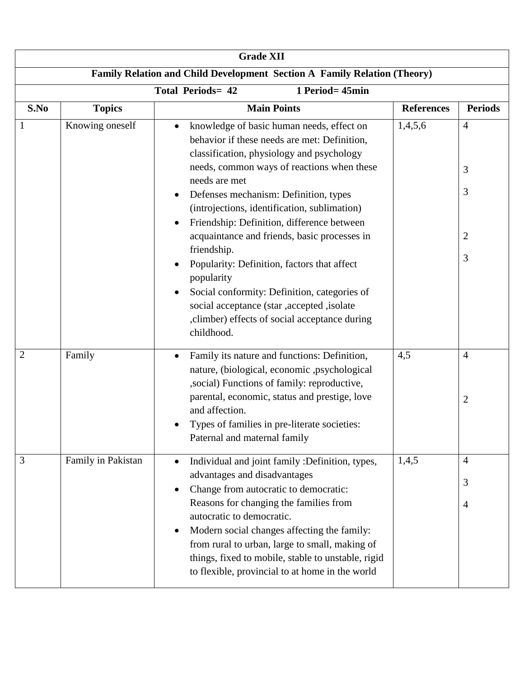| <b>Grade XII</b>                                                         |                    |                                                                                                                                                                                                                                                                                                                                                                                                                                                  |                   |                                  |  |  |
|--------------------------------------------------------------------------|--------------------|--------------------------------------------------------------------------------------------------------------------------------------------------------------------------------------------------------------------------------------------------------------------------------------------------------------------------------------------------------------------------------------------------------------------------------------------------|-------------------|----------------------------------|--|--|
| Family Relation and Child Development Section A Family Relation (Theory) |                    |                                                                                                                                                                                                                                                                                                                                                                                                                                                  |                   |                                  |  |  |
| <b>Total Periods= 42</b><br>1 Period= 45min                              |                    |                                                                                                                                                                                                                                                                                                                                                                                                                                                  |                   |                                  |  |  |
| S.No                                                                     | <b>Topics</b>      | <b>Main Points</b>                                                                                                                                                                                                                                                                                                                                                                                                                               | <b>References</b> | <b>Periods</b>                   |  |  |
|                                                                          | Knowing oneself    | knowledge of basic human needs, effect on<br>$\bullet$<br>behavior if these needs are met: Definition,<br>classification, physiology and psychology<br>needs, common ways of reactions when these<br>needs are met<br>Defenses mechanism: Definition, types<br>٠<br>(introjections, identification, sublimation)<br>Friendship: Definition, difference between<br>$\bullet$                                                                      | 1,4,5,6           | $\overline{4}$<br>3<br>3         |  |  |
|                                                                          |                    | acquaintance and friends, basic processes in<br>friendship.<br>Popularity: Definition, factors that affect<br>$\bullet$<br>popularity<br>Social conformity: Definition, categories of<br>social acceptance (star ,accepted ,isolate<br>, climber) effects of social acceptance during<br>childhood.                                                                                                                                              |                   | $\overline{c}$<br>3              |  |  |
| $\overline{2}$                                                           | Family             | Family its nature and functions: Definition,<br>$\bullet$<br>nature, (biological, economic ,psychological<br>, social) Functions of family: reproductive,<br>parental, economic, status and prestige, love<br>and affection.<br>Types of families in pre-literate societies:<br>Paternal and maternal family                                                                                                                                     | 4,5               | $\overline{4}$<br>$\overline{2}$ |  |  |
| 3                                                                        | Family in Pakistan | Individual and joint family :Definition, types,<br>$\bullet$<br>advantages and disadvantages<br>Change from autocratic to democratic:<br>$\bullet$<br>Reasons for changing the families from<br>autocratic to democratic.<br>Modern social changes affecting the family:<br>$\bullet$<br>from rural to urban, large to small, making of<br>things, fixed to mobile, stable to unstable, rigid<br>to flexible, provincial to at home in the world | 1,4,5             | $\overline{4}$<br>3<br>4         |  |  |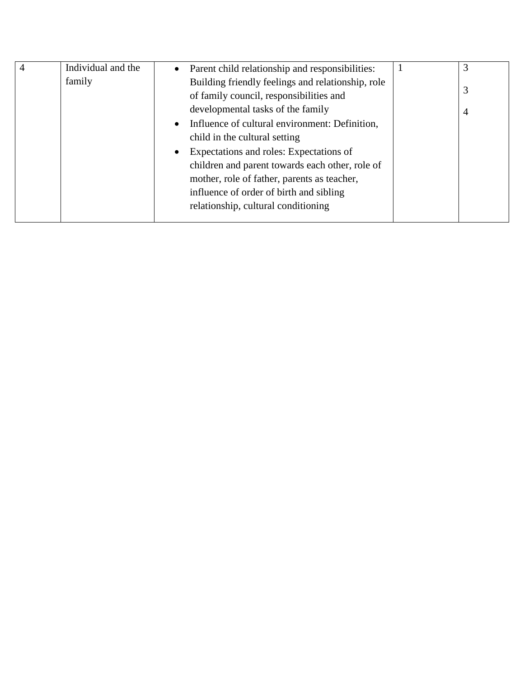| 4 | Individual and the | $\bullet$ | Parent child relationship and responsibilities:   | 3 |
|---|--------------------|-----------|---------------------------------------------------|---|
|   | family             |           | Building friendly feelings and relationship, role |   |
|   |                    |           | of family council, responsibilities and           | 3 |
|   |                    |           | developmental tasks of the family                 | 4 |
|   |                    | $\bullet$ | Influence of cultural environment: Definition,    |   |
|   |                    |           | child in the cultural setting                     |   |
|   |                    |           | Expectations and roles: Expectations of           |   |
|   |                    |           | children and parent towards each other, role of   |   |
|   |                    |           | mother, role of father, parents as teacher,       |   |
|   |                    |           | influence of order of birth and sibling           |   |
|   |                    |           | relationship, cultural conditioning               |   |
|   |                    |           |                                                   |   |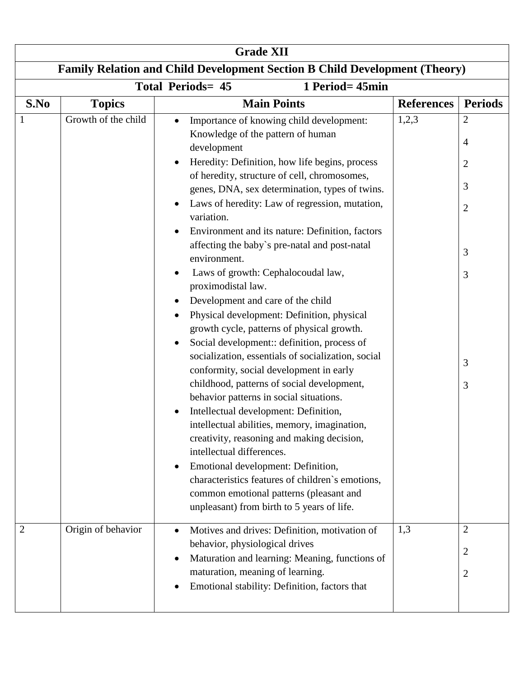| <b>Grade XII</b>                                                                  |                     |                                                                                                                                                                                                                                                                                                                                                                                                                                                                                                                                                                                                                                                                                                                                                                                                                                                                                                                                                                                                                                                                                                                                                                                                                                                                                                                   |                   |                                                                                  |  |  |
|-----------------------------------------------------------------------------------|---------------------|-------------------------------------------------------------------------------------------------------------------------------------------------------------------------------------------------------------------------------------------------------------------------------------------------------------------------------------------------------------------------------------------------------------------------------------------------------------------------------------------------------------------------------------------------------------------------------------------------------------------------------------------------------------------------------------------------------------------------------------------------------------------------------------------------------------------------------------------------------------------------------------------------------------------------------------------------------------------------------------------------------------------------------------------------------------------------------------------------------------------------------------------------------------------------------------------------------------------------------------------------------------------------------------------------------------------|-------------------|----------------------------------------------------------------------------------|--|--|
| <b>Family Relation and Child Development Section B Child Development (Theory)</b> |                     |                                                                                                                                                                                                                                                                                                                                                                                                                                                                                                                                                                                                                                                                                                                                                                                                                                                                                                                                                                                                                                                                                                                                                                                                                                                                                                                   |                   |                                                                                  |  |  |
| <b>Total Periods= 45</b><br>1 Period= 45min                                       |                     |                                                                                                                                                                                                                                                                                                                                                                                                                                                                                                                                                                                                                                                                                                                                                                                                                                                                                                                                                                                                                                                                                                                                                                                                                                                                                                                   |                   |                                                                                  |  |  |
| S.No                                                                              | <b>Topics</b>       | <b>Main Points</b>                                                                                                                                                                                                                                                                                                                                                                                                                                                                                                                                                                                                                                                                                                                                                                                                                                                                                                                                                                                                                                                                                                                                                                                                                                                                                                | <b>References</b> | <b>Periods</b>                                                                   |  |  |
|                                                                                   | Growth of the child | Importance of knowing child development:<br>$\bullet$<br>Knowledge of the pattern of human<br>development<br>Heredity: Definition, how life begins, process<br>٠<br>of heredity, structure of cell, chromosomes,<br>genes, DNA, sex determination, types of twins.<br>Laws of heredity: Law of regression, mutation,<br>$\bullet$<br>variation.<br>Environment and its nature: Definition, factors<br>affecting the baby's pre-natal and post-natal<br>environment.<br>Laws of growth: Cephalocoudal law,<br>٠<br>proximodistal law.<br>Development and care of the child<br>٠<br>Physical development: Definition, physical<br>$\bullet$<br>growth cycle, patterns of physical growth.<br>Social development:: definition, process of<br>$\bullet$<br>socialization, essentials of socialization, social<br>conformity, social development in early<br>childhood, patterns of social development,<br>behavior patterns in social situations.<br>Intellectual development: Definition,<br>intellectual abilities, memory, imagination,<br>creativity, reasoning and making decision,<br>intellectual differences.<br>Emotional development: Definition,<br>$\bullet$<br>characteristics features of children's emotions,<br>common emotional patterns (pleasant and<br>unpleasant) from birth to 5 years of life. | 1,2,3             | $\overline{2}$<br>4<br>$\overline{c}$<br>3<br>$\overline{2}$<br>3<br>3<br>3<br>3 |  |  |
| 2                                                                                 | Origin of behavior  | Motives and drives: Definition, motivation of<br>$\bullet$<br>behavior, physiological drives<br>Maturation and learning: Meaning, functions of<br>$\bullet$<br>maturation, meaning of learning.<br>Emotional stability: Definition, factors that<br>$\bullet$                                                                                                                                                                                                                                                                                                                                                                                                                                                                                                                                                                                                                                                                                                                                                                                                                                                                                                                                                                                                                                                     | 1,3               | $\overline{2}$<br>$\overline{c}$<br>$\overline{c}$                               |  |  |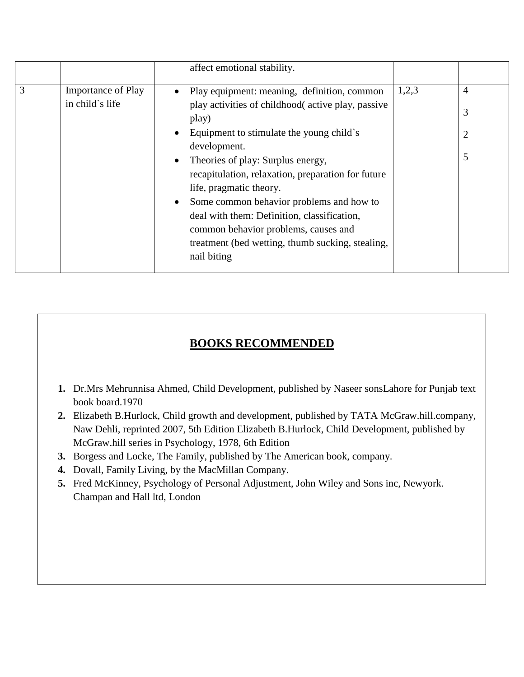|   |                                              |           | affect emotional stability.                                                                      |       |                |
|---|----------------------------------------------|-----------|--------------------------------------------------------------------------------------------------|-------|----------------|
| 3 | <b>Importance of Play</b><br>in child`s life | $\bullet$ | Play equipment: meaning, definition, common<br>play activities of childhood active play, passive | 1,2,3 | $\overline{4}$ |
|   |                                              |           | play)                                                                                            |       | 3              |
|   |                                              | $\bullet$ | Equipment to stimulate the young child's<br>development.                                         |       | $\overline{2}$ |
|   |                                              | $\bullet$ | Theories of play: Surplus energy,                                                                |       | 5              |
|   |                                              |           | recapitulation, relaxation, preparation for future                                               |       |                |
|   |                                              |           | life, pragmatic theory.<br>Some common behavior problems and how to                              |       |                |
|   |                                              |           | deal with them: Definition, classification,                                                      |       |                |
|   |                                              |           | common behavior problems, causes and<br>treatment (bed wetting, thumb sucking, stealing,         |       |                |
|   |                                              |           | nail biting                                                                                      |       |                |

## **BOOKS RECOMMENDED**

- **1.** Dr.Mrs Mehrunnisa Ahmed, Child Development, published by Naseer sonsLahore for Punjab text book board.1970
- **2.** Elizabeth B.Hurlock, Child growth and development, published by TATA McGraw.hill.company, Naw Dehli, reprinted 2007, 5th Edition Elizabeth B.Hurlock, Child Development, published by McGraw.hill series in Psychology, 1978, 6th Edition
- **3.** Borgess and Locke, The Family, published by The American book, company.
- **4.** Dovall, Family Living, by the MacMillan Company.
- **5.** Fred McKinney, Psychology of Personal Adjustment, John Wiley and Sons inc, Newyork. Champan and Hall ltd, London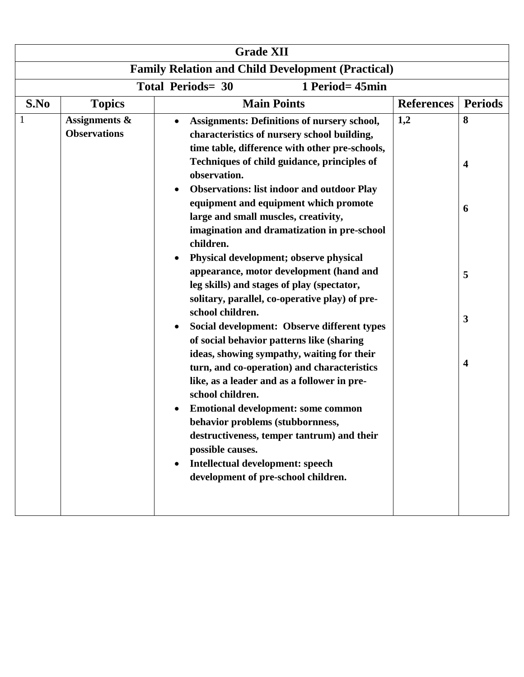| <b>Grade XII</b>                                         |                                                 |                                                                                                                                                                                                                                                                                                                                                                                                                                                                                                                                                                                                                                                                                                                                                                                                                                                                                                                                                                                                                                                                                                                                      |                   |                            |  |  |
|----------------------------------------------------------|-------------------------------------------------|--------------------------------------------------------------------------------------------------------------------------------------------------------------------------------------------------------------------------------------------------------------------------------------------------------------------------------------------------------------------------------------------------------------------------------------------------------------------------------------------------------------------------------------------------------------------------------------------------------------------------------------------------------------------------------------------------------------------------------------------------------------------------------------------------------------------------------------------------------------------------------------------------------------------------------------------------------------------------------------------------------------------------------------------------------------------------------------------------------------------------------------|-------------------|----------------------------|--|--|
| <b>Family Relation and Child Development (Practical)</b> |                                                 |                                                                                                                                                                                                                                                                                                                                                                                                                                                                                                                                                                                                                                                                                                                                                                                                                                                                                                                                                                                                                                                                                                                                      |                   |                            |  |  |
|                                                          | <b>Total Periods= 30</b><br>1 Period= 45min     |                                                                                                                                                                                                                                                                                                                                                                                                                                                                                                                                                                                                                                                                                                                                                                                                                                                                                                                                                                                                                                                                                                                                      |                   |                            |  |  |
| S.No                                                     | <b>Topics</b>                                   | <b>Main Points</b>                                                                                                                                                                                                                                                                                                                                                                                                                                                                                                                                                                                                                                                                                                                                                                                                                                                                                                                                                                                                                                                                                                                   | <b>References</b> | <b>Periods</b>             |  |  |
|                                                          | <b>Assignments &amp;</b><br><b>Observations</b> | <b>Assignments: Definitions of nursery school,</b><br>$\bullet$<br>characteristics of nursery school building,<br>time table, difference with other pre-schools,<br>Techniques of child guidance, principles of<br>observation.<br><b>Observations: list indoor and outdoor Play</b><br>equipment and equipment which promote<br>large and small muscles, creativity,<br>imagination and dramatization in pre-school<br>children.<br>Physical development; observe physical<br>appearance, motor development (hand and<br>leg skills) and stages of play (spectator,<br>solitary, parallel, co-operative play) of pre-<br>school children.<br>Social development: Observe different types<br>of social behavior patterns like (sharing<br>ideas, showing sympathy, waiting for their<br>turn, and co-operation) and characteristics<br>like, as a leader and as a follower in pre-<br>school children.<br><b>Emotional development: some common</b><br>behavior problems (stubbornness,<br>destructiveness, temper tantrum) and their<br>possible causes.<br>Intellectual development: speech<br>development of pre-school children. | 1,2               | 8<br>4<br>6<br>5<br>3<br>4 |  |  |
|                                                          |                                                 |                                                                                                                                                                                                                                                                                                                                                                                                                                                                                                                                                                                                                                                                                                                                                                                                                                                                                                                                                                                                                                                                                                                                      |                   |                            |  |  |